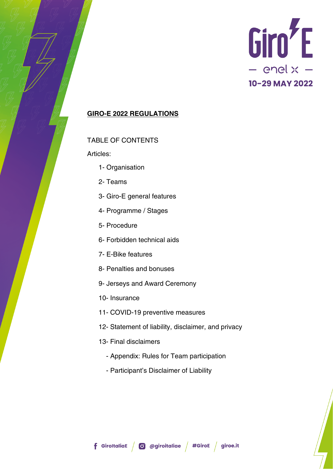

### **GIRO-E 2022 REGULATIONS**

### TABLE OF CONTENTS

Articles:

- 1- Organisation
- 2- Teams
- 3- Giro-E general features
- 4- Programme / Stages
- 5- Procedure
- 6- Forbidden technical aids
- 7- E-Bike features
- 8- Penalties and bonuses
- 9- Jerseys and Award Ceremony
- 10- Insurance
- 11- COVID-19 preventive measures
- 12- Statement of liability, disclaimer, and privacy
- 13- Final disclaimers
	- Appendix: Rules for Team participation
	- Participant's Disclaimer of Liability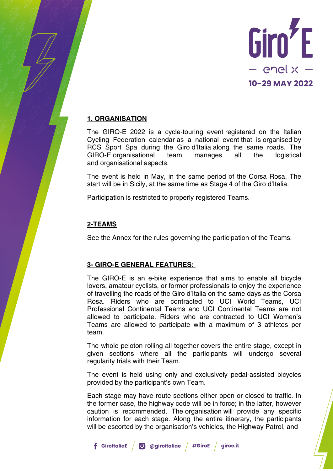

## **1. ORGANISATION**

The GIRO-E 2022 is a cycle-touring event registered on the Italian Cycling Federation calendar as a national event that is organised by RCS Sport Spa during the Giro d'Italia along the same roads. The GIRO-E organisational team manages all the logistical and organisational aspects.

The event is held in May, in the same period of the Corsa Rosa. The start will be in Sicily, at the same time as Stage 4 of the Giro d'Italia.

Participation is restricted to properly registered Teams.

## **2-TEAMS**

See the Annex for the rules governing the participation of the Teams.

### **3- GIRO-E GENERAL FEATURES:**

The GIRO-E is an e-bike experience that aims to enable all bicycle lovers, amateur cyclists, or former professionals to enjoy the experience of travelling the roads of the Giro d'Italia on the same days as the Corsa Rosa. Riders who are contracted to UCI World Teams, UCI Professional Continental Teams and UCI Continental Teams are not allowed to participate. Riders who are contracted to UCI Women's Teams are allowed to participate with a maximum of 3 athletes per team.

The whole peloton rolling all together covers the entire stage, except in given sections where all the participants will undergo several regularity trials with their Team.

The event is held using only and exclusively pedal-assisted bicycles provided by the participant's own Team.

Each stage may have route sections either open or closed to traffic. In the former case, the highway code will be in force; in the latter, however caution is recommended. The organisation will provide any specific information for each stage. Along the entire itinerary, the participants will be escorted by the organisation's vehicles, the Highway Patrol, and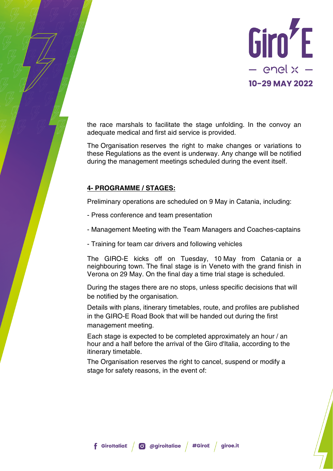

the race marshals to facilitate the stage unfolding. In the convoy an adequate medical and first aid service is provided.

The Organisation reserves the right to make changes or variations to these Regulations as the event is underway. Any change will be notified during the management meetings scheduled during the event itself.

## **4- PROGRAMME / STAGES:**

Preliminary operations are scheduled on 9 May in Catania, including:

- Press conference and team presentation
- Management Meeting with the Team Managers and Coaches-captains
- Training for team car drivers and following vehicles

The GIRO-E kicks off on Tuesday, 10 May from Catania or a neighbouring town. The final stage is in Veneto with the grand finish in Verona on 29 May. On the final day a time trial stage is scheduled.

During the stages there are no stops, unless specific decisions that will be notified by the organisation.

Details with plans, itinerary timetables, route, and profiles are published in the GIRO-E Road Book that will be handed out during the first management meeting.

Each stage is expected to be completed approximately an hour / an hour and a half before the arrival of the Giro d'Italia, according to the itinerary timetable.

The Organisation reserves the right to cancel, suspend or modify a stage for safety reasons, in the event of: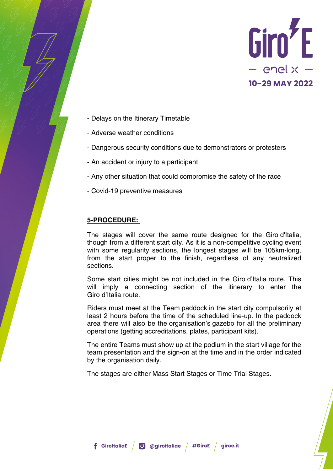

- Delays on the Itinerary Timetable
- Adverse weather conditions
- Dangerous security conditions due to demonstrators or protesters
- An accident or injury to a participant
- Any other situation that could compromise the safety of the race
- Covid-19 preventive measures

### **5-PROCEDURE:**

The stages will cover the same route designed for the Giro d'Italia, though from a different start city. As it is a non-competitive cycling event with some regularity sections, the longest stages will be 105km-long, from the start proper to the finish, regardless of any neutralized sections.

Some start cities might be not included in the Giro d'Italia route. This will imply a connecting section of the itinerary to enter the Giro d'Italia route.

Riders must meet at the Team paddock in the start city compulsorily at least 2 hours before the time of the scheduled line-up. In the paddock area there will also be the organisation's gazebo for all the preliminary operations (getting accreditations, plates, participant kits).

The entire Teams must show up at the podium in the start village for the team presentation and the sign-on at the time and in the order indicated by the organisation daily.

The stages are either Mass Start Stages or Time Trial Stages.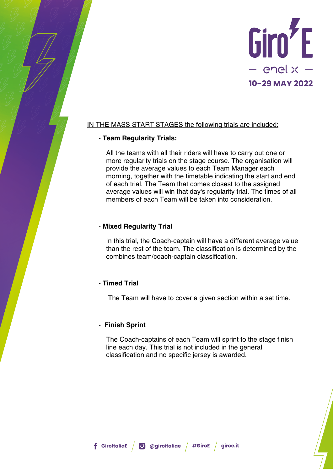

## IN THE MASS START STAGES the following trials are included:

### - **Team Regularity Trials:**

All the teams with all their riders will have to carry out one or more regularity trials on the stage course. The organisation will provide the average values to each Team Manager each morning, together with the timetable indicating the start and end of each trial. The Team that comes closest to the assigned average values will win that day's regularity trial. The times of all members of each Team will be taken into consideration.

## - **Mixed Regularity Trial**

In this trial, the Coach-captain will have a different average value than the rest of the team. The classification is determined by the combines team/coach-captain classification.

## - **Timed Trial**

The Team will have to cover a given section within a set time.

### - **Finish Sprint**

The Coach-captains of each Team will sprint to the stage finish line each day. This trial is not included in the general classification and no specific jersey is awarded.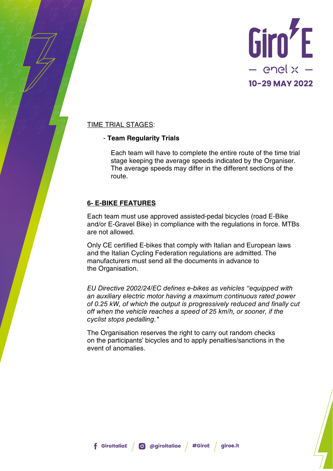

## TIME TRIAL STAGES:

### - **Team Regularity Trials**

Each team will have to complete the entire route of the time trial stage keeping the average speeds indicated by the Organiser. The average speeds may differ in the different sections of the route.

## **6- E-BIKE FEATURES**

Each team must use approved assisted-pedal bicycles (road E-Bike and/or E-Gravel Bike) in compliance with the regulations in force. MTBs are not allowed.

Only CE certified E-bikes that comply with Italian and European laws and the Italian Cycling Federation regulations are admitted. The manufacturers must send all the documents in advance to the Organisation.

*EU Directive 2002/24/EC defines e-bikes as vehicles "equipped with an auxiliary electric motor having a maximum continuous rated power of 0.25 kW, of which the output is progressively reduced and finally cut off when the vehicle reaches a speed of 25 km/h, or sooner, if the cyclist stops pedalling."*

The Organisation reserves the right to carry out random checks on the participants' bicycles and to apply penalties/sanctions in the event of anomalies.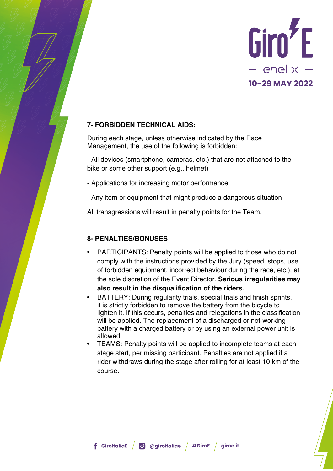

## **7- FORBIDDEN TECHNICAL AIDS:**

During each stage, unless otherwise indicated by the Race Management, the use of the following is forbidden:

- All devices (smartphone, cameras, etc.) that are not attached to the bike or some other support (e.g., helmet)

- Applications for increasing motor performance
- Any item or equipment that might produce a dangerous situation

All transgressions will result in penalty points for the Team.

# **8- PENALTIES/BONUSES**

- PARTICIPANTS: Penalty points will be applied to those who do not comply with the instructions provided by the Jury (speed, stops, use of forbidden equipment, incorrect behaviour during the race, etc.), at the sole discretion of the Event Director. **Serious irregularities may also result in the disqualification of the riders.**
- BATTERY: During regularity trials, special trials and finish sprints, it is strictly forbidden to remove the battery from the bicycle to lighten it. If this occurs, penalties and relegations in the classification will be applied. The replacement of a discharged or not-working battery with a charged battery or by using an external power unit is allowed.
- TEAMS: Penalty points will be applied to incomplete teams at each stage start, per missing participant. Penalties are not applied if a rider withdraws during the stage after rolling for at least 10 km of the course.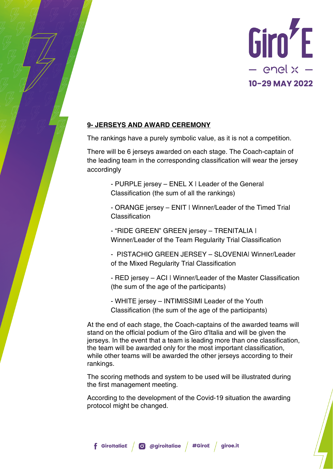

## **9- JERSEYS AND AWARD CEREMONY**

The rankings have a purely symbolic value, as it is not a competition.

There will be 6 jerseys awarded on each stage. The Coach-captain of the leading team in the corresponding classification will wear the jersey accordingly

> - PURPLE jersey – ENEL X | Leader of the General Classification (the sum of all the rankings)

- ORANGE jersey – ENIT | Winner/Leader of the Timed Trial **Classification** 

- "RIDE GREEN" GREEN jersey – TRENITALIA | Winner/Leader of the Team Regularity Trial Classification

- PISTACHIO GREEN JERSEY – SLOVENIA| Winner/Leader of the Mixed Regularity Trial Classification

- RED jersey – ACI | Winner/Leader of the Master Classification (the sum of the age of the participants)

- WHITE jersey – INTIMISSIMI Leader of the Youth Classification (the sum of the age of the participants)

At the end of each stage, the Coach-captains of the awarded teams will stand on the official podium of the Giro d'Italia and will be given the jerseys. In the event that a team is leading more than one classification, the team will be awarded only for the most important classification, while other teams will be awarded the other jerseys according to their rankings.

The scoring methods and system to be used will be illustrated during the first management meeting.

According to the development of the Covid-19 situation the awarding protocol might be changed.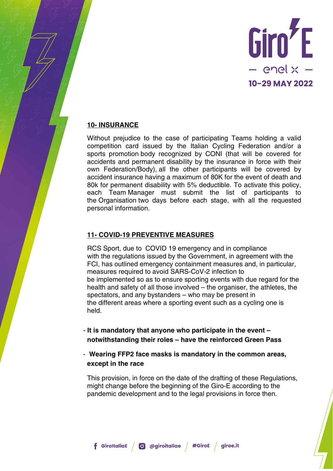

## **10- INSURANCE**

Without prejudice to the case of participating Teams holding a valid competition card issued by the Italian Cycling Federation and/or a sports promotion body recognized by CONI (that will be covered for accidents and permanent disability by the insurance in force with their own Federation/Body), all the other participants will be covered by accident insurance having a maximum of 80K for the event of death and 80k for permanent disability with 5% deductible. To activate this policy, each Team Manager must submit the list of participants to the Organisation two days before each stage, with all the requested personal information.

## **11- COVID-19 PREVENTIVE MEASURES**

RCS Sport, due to COVID 19 emergency and in compliance with the regulations issued by the Government, in agreement with the FCI, has outlined emergency containment measures and, in particular, measures required to avoid SARS-CoV-2 infection to be implemented so as to ensure sporting events with due regard for the health and safety of all those involved – the organiser, the athletes, the spectators, and any bystanders – who may be present in the different areas where a sporting event such as a cycling one is held.

- **It is mandatory that anyone who participate in the event – notwithstanding their roles – have the reinforced Green Pass**
- **Wearing FFP2 face masks is mandatory in the common areas, except in the race**

This provision, in force on the date of the drafting of these Regulations, might change before the beginning of the Giro-E according to the pandemic development and to the legal provisions in force then.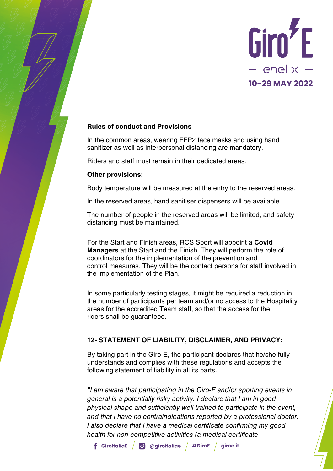

## **Rules of conduct and Provisions**

In the common areas, wearing FFP2 face masks and using hand sanitizer as well as interpersonal distancing are mandatory.

Riders and staff must remain in their dedicated areas.

## **Other provisions:**

Body temperature will be measured at the entry to the reserved areas.

In the reserved areas, hand sanitiser dispensers will be available.

The number of people in the reserved areas will be limited, and safety distancing must be maintained.

For the Start and Finish areas, RCS Sport will appoint a **Covid Managers** at the Start and the Finish. They will perform the role of coordinators for the implementation of the prevention and control measures. They will be the contact persons for staff involved in the implementation of the Plan.

In some particularly testing stages, it might be required a reduction in the number of participants per team and/or no access to the Hospitality areas for the accredited Team staff, so that the access for the riders shall be guaranteed.

## **12- STATEMENT OF LIABILITY, DISCLAIMER, AND PRIVACY:**

By taking part in the Giro-E, the participant declares that he/she fully understands and complies with these regulations and accepts the following statement of liability in all its parts.

*"I am aware that participating in the Giro-E and/or sporting events in general is a potentially risky activity. I declare that I am in good physical shape and sufficiently well trained to participate in the event, and that I have no contraindications reported by a professional doctor. I also declare that I have a medical certificate confirming my good health for non-competitive activities (a medical certificate*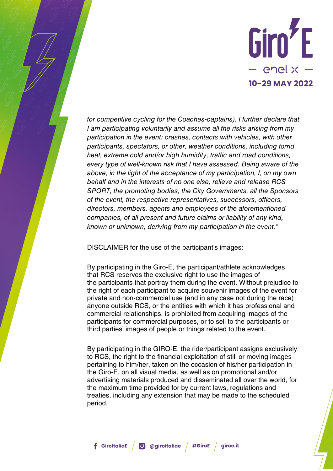

*for competitive cycling for the Coaches-captains). I further declare that I am participating voluntarily and assume all the risks arising from my participation in the event: crashes, contacts with vehicles, with other participants, spectators, or other, weather conditions, including torrid heat, extreme cold and/or high humidity, traffic and road conditions, every type of well-known risk that I have assessed. Being aware of the above, in the light of the acceptance of my participation, I, on my own behalf and in the interests of no one else, relieve and release RCS SPORT, the promoting bodies, the City Governments, all the Sponsors of the event, the respective representatives, successors, officers, directors, members, agents and employees of the aforementioned companies, of all present and future claims or liability of any kind, known or unknown, deriving from my participation in the event."*

DISCLAIMER for the use of the participant's images:

By participating in the Giro-E, the participant/athlete acknowledges that RCS reserves the exclusive right to use the images of the participants that portray them during the event. Without prejudice to the right of each participant to acquire souvenir images of the event for private and non-commercial use (and in any case not during the race) anyone outside RCS, or the entities with which it has professional and commercial relationships, is prohibited from acquiring images of the participants for commercial purposes, or to sell to the participants or third parties' images of people or things related to the event.

By participating in the GIRO-E, the rider/participant assigns exclusively to RCS, the right to the financial exploitation of still or moving images pertaining to him/her, taken on the occasion of his/her participation in the Giro-E, on all visual media, as well as on promotional and/or advertising materials produced and disseminated all over the world, for the maximum time provided for by current laws, regulations and treaties, including any extension that may be made to the scheduled period.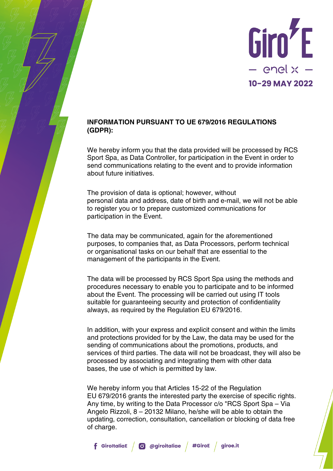

## **INFORMATION PURSUANT TO UE 679/2016 REGULATIONS (GDPR):**

We hereby inform you that the data provided will be processed by RCS Sport Spa, as Data Controller, for participation in the Event in order to send communications relating to the event and to provide information about future initiatives.

The provision of data is optional; however, without personal data and address, date of birth and e-mail, we will not be able to register you or to prepare customized communications for participation in the Event.

The data may be communicated, again for the aforementioned purposes, to companies that, as Data Processors, perform technical or organisational tasks on our behalf that are essential to the management of the participants in the Event.

The data will be processed by RCS Sport Spa using the methods and procedures necessary to enable you to participate and to be informed about the Event. The processing will be carried out using IT tools suitable for guaranteeing security and protection of confidentiality always, as required by the Regulation EU 679/2016.

In addition, with your express and explicit consent and within the limits and protections provided for by the Law, the data may be used for the sending of communications about the promotions, products, and services of third parties. The data will not be broadcast, they will also be processed by associating and integrating them with other data bases, the use of which is permitted by law.

We hereby inform you that Articles 15-22 of the Regulation EU 679/2016 grants the interested party the exercise of specific rights. Any time, by writing to the Data Processor c/o "RCS Sport Spa – Via Angelo Rizzoli, 8 – 20132 Milano, he/she will be able to obtain the updating, correction, consultation, cancellation or blocking of data free of charge.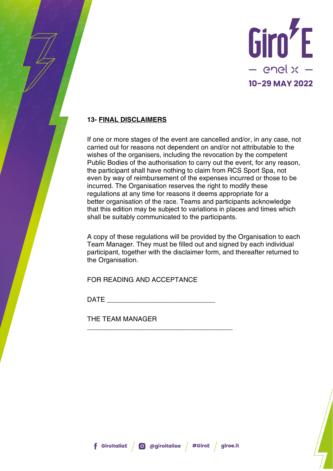

# **13- FINAL DISCLAIMERS**

If one or more stages of the event are cancelled and/or, in any case, not carried out for reasons not dependent on and/or not attributable to the wishes of the organisers, including the revocation by the competent Public Bodies of the authorisation to carry out the event, for any reason, the participant shall have nothing to claim from RCS Sport Spa, not even by way of reimbursement of the expenses incurred or those to be incurred. The Organisation reserves the right to modify these regulations at any time for reasons it deems appropriate for a better organisation of the race. Teams and participants acknowledge that this edition may be subject to variations in places and times which shall be suitably communicated to the participants.

A copy of these regulations will be provided by the Organisation to each Team Manager. They must be filled out and signed by each individual participant, together with the disclaimer form, and thereafter returned to the Organisation.

FOR READING AND ACCEPTANCE

\_\_\_\_\_\_\_\_\_\_\_\_\_\_\_\_\_\_\_\_\_\_\_\_\_\_\_\_\_\_\_\_\_\_\_\_\_\_\_

 $\Box$ ATE

THE TEAM MANAGER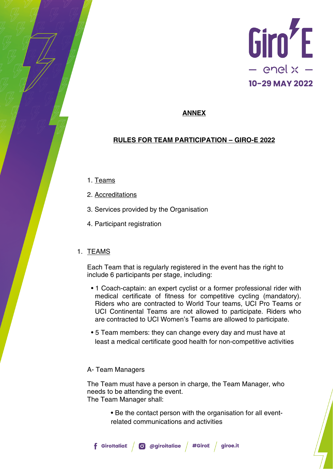

### **ANNEX**

### **RULES FOR TEAM PARTICIPATION – GIRO-E 2022**

- 1. Teams
- 2. Accreditations
- 3. Services provided by the Organisation
- 4. Participant registration

#### 1. TEAMS

Each Team that is regularly registered in the event has the right to include 6 participants per stage, including:

- 1 Coach-captain: an expert cyclist or a former professional rider with medical certificate of fitness for competitive cycling (mandatory). Riders who are contracted to World Tour teams, UCI Pro Teams or UCI Continental Teams are not allowed to participate. Riders who are contracted to UCI Women's Teams are allowed to participate.
- 5 Team members: they can change every day and must have at least a medical certificate good health for non-competitive activities

#### A- Team Managers

The Team must have a person in charge, the Team Manager, who needs to be attending the event. The Team Manager shall:

> • Be the contact person with the organisation for all eventrelated communications and activities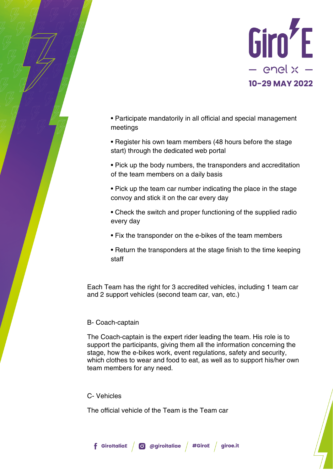

• Participate mandatorily in all official and special management meetings

• Register his own team members (48 hours before the stage start) through the dedicated web portal

• Pick up the body numbers, the transponders and accreditation of the team members on a daily basis

• Pick up the team car number indicating the place in the stage convoy and stick it on the car every day

• Check the switch and proper functioning of the supplied radio every day

- Fix the transponder on the e-bikes of the team members
- Return the transponders at the stage finish to the time keeping staff

Each Team has the right for 3 accredited vehicles, including 1 team car and 2 support vehicles (second team car, van, etc.)

### B- Coach-captain

The Coach-captain is the expert rider leading the team. His role is to support the participants, giving them all the information concerning the stage, how the e-bikes work, event regulations, safety and security, which clothes to wear and food to eat, as well as to support his/her own team members for any need.

### C- Vehicles

The official vehicle of the Team is the Team car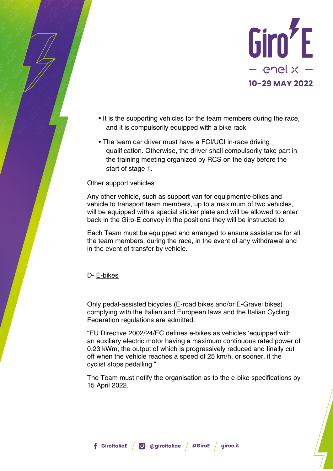

- It is the supporting vehicles for the team members during the race, and it is compulsorily equipped with a bike rack
- The team car driver must have a FCI/UCI in-race driving qualification. Otherwise, the driver shall compulsorily take part in the training meeting organized by RCS on the day before the start of stage 1.

#### Other support vehicles

Any other vehicle, such as support van for equipment/e-bikes and vehicle to transport team members, up to a maximum of two vehicles, will be equipped with a special sticker plate and will be allowed to enter back in the Giro-E convoy in the positions they will be instructed to.

Each Team must be equipped and arranged to ensure assistance for all the team members, during the race, in the event of any withdrawal and in the event of transfer by vehicle.

#### D- E-bikes

Only pedal-assisted bicycles (E-road bikes and/or E-Gravel bikes) complying with the Italian and European laws and the Italian Cycling Federation regulations are admitted.

"EU Directive 2002/24/EC defines e-bikes as vehicles 'equipped with an auxiliary electric motor having a maximum continuous rated power of 0.23 kWm, the output of which is progressively reduced and finally cut off when the vehicle reaches a speed of 25 km/h, or sooner, if the cyclist stops pedalling."

The Team must notify the organisation as to the e-bike specifications by 15 April 2022.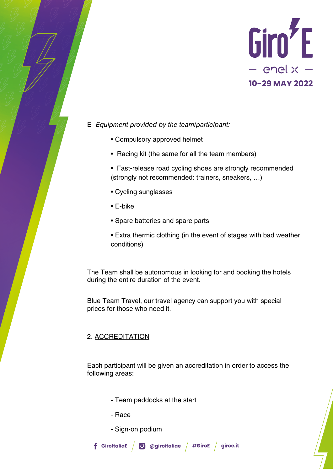

## E- *Equipment provided by the team/participant:*

- Compulsory approved helmet
- Racing kit (the same for all the team members)
- Fast-release road cycling shoes are strongly recommended (strongly not recommended: trainers, sneakers, …)
- Cycling sunglasses
- E-bike
- Spare batteries and spare parts
- Extra thermic clothing (in the event of stages with bad weather conditions)

The Team shall be autonomous in looking for and booking the hotels during the entire duration of the event.

Blue Team Travel, our travel agency can support you with special prices for those who need it.

## 2. ACCREDITATION

Each participant will be given an accreditation in order to access the following areas:

- Team paddocks at the start
- Race
- Sign-on podium

**f** GiroltaliaE  $\int$  **O** @giroitaliae  $\int$  #GiroE  $\int$  giroe.it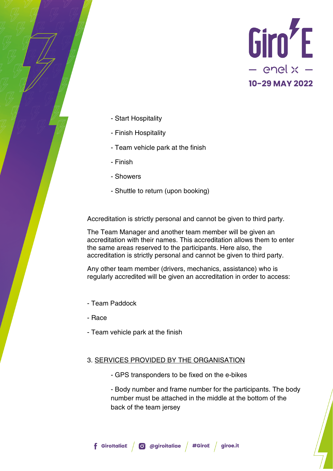

- Start Hospitality
- Finish Hospitality
- Team vehicle park at the finish
- Finish
- Showers
- Shuttle to return (upon booking)

Accreditation is strictly personal and cannot be given to third party.

The Team Manager and another team member will be given an accreditation with their names. This accreditation allows them to enter the same areas reserved to the participants. Here also, the accreditation is strictly personal and cannot be given to third party.

Any other team member (drivers, mechanics, assistance) who is regularly accredited will be given an accreditation in order to access:

- Team Paddock
- Race
- Team vehicle park at the finish

### 3. SERVICES PROVIDED BY THE ORGANISATION

- GPS transponders to be fixed on the e-bikes
- Body number and frame number for the participants. The body number must be attached in the middle at the bottom of the back of the team jersey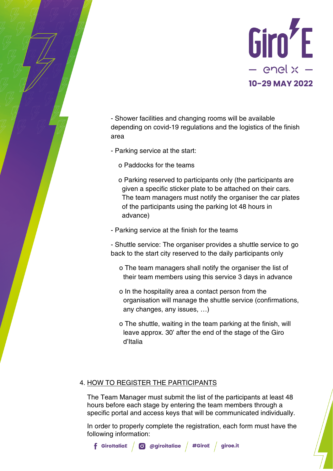

- Shower facilities and changing rooms will be available depending on covid-19 regulations and the logistics of the finish area

- Parking service at the start:

- o Paddocks for the teams
- o Parking reserved to participants only (the participants are given a specific sticker plate to be attached on their cars. The team managers must notify the organiser the car plates of the participants using the parking lot 48 hours in advance)
- Parking service at the finish for the teams

- Shuttle service: The organiser provides a shuttle service to go back to the start city reserved to the daily participants only

- o The team managers shall notify the organiser the list of their team members using this service 3 days in advance
- o In the hospitality area a contact person from the organisation will manage the shuttle service (confirmations, any changes, any issues, …)
- o The shuttle, waiting in the team parking at the finish, will leave approx. 30' after the end of the stage of the Giro d'Italia

## 4. HOW TO REGISTER THE PARTICIPANTS

The Team Manager must submit the list of the participants at least 48 hours before each stage by entering the team members through a specific portal and access keys that will be communicated individually.

In order to properly complete the registration, each form must have the following information:

**f** GiroltaliaE  $\int$  **O** @giroitaliae  $\int$  #GiroE  $\int$  giroe.it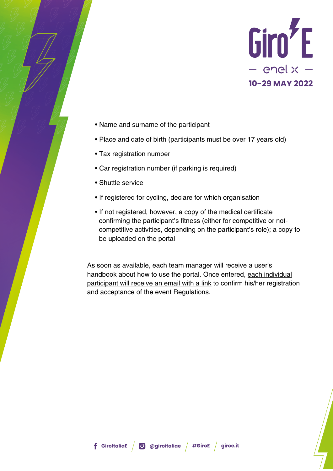

- Name and surname of the participant
- Place and date of birth (participants must be over 17 years old)
- Tax registration number
- Car registration number (if parking is required)
- Shuttle service
- If registered for cycling, declare for which organisation
- If not registered, however, a copy of the medical certificate confirming the participant's fitness (either for competitive or notcompetitive activities, depending on the participant's role); a copy to be uploaded on the portal

As soon as available, each team manager will receive a user's handbook about how to use the portal. Once entered, each individual participant will receive an email with a link to confirm his/her registration and acceptance of the event Regulations.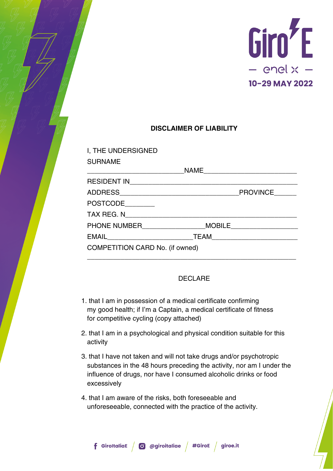

# **DISCLAIMER OF LIABILITY**

| I, THE UNDERSIGNED                     |                 |
|----------------------------------------|-----------------|
| <b>SURNAME</b>                         |                 |
|                                        |                 |
|                                        |                 |
|                                        | <b>PROVINCE</b> |
| POSTCODE________                       |                 |
| TAX REG. N                             |                 |
| PHONE NUMBER MOBILE                    |                 |
| EMAIL <b>EMAIL</b>                     |                 |
| <b>COMPETITION CARD No. (if owned)</b> |                 |

## DECLARE

- 1. that I am in possession of a medical certificate confirming my good health; if I'm a Captain, a medical certificate of fitness for competitive cycling (copy attached)
- 2. that I am in a psychological and physical condition suitable for this activity
- 3. that I have not taken and will not take drugs and/or psychotropic substances in the 48 hours preceding the activity, nor am I under the influence of drugs, nor have I consumed alcoholic drinks or food excessively
- 4. that I am aware of the risks, both foreseeable and unforeseeable, connected with the practice of the activity.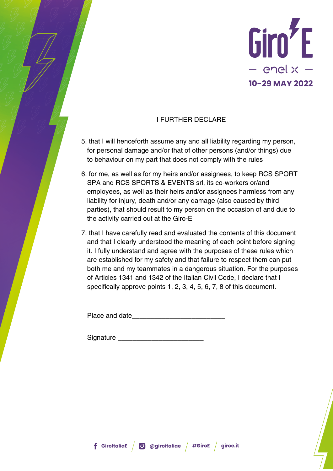

# I FURTHER DECLARE

- 5. that I will henceforth assume any and all liability regarding my person, for personal damage and/or that of other persons (and/or things) due to behaviour on my part that does not comply with the rules
- 6. for me, as well as for my heirs and/or assignees, to keep RCS SPORT SPA and RCS SPORTS & EVENTS srl, its co-workers or/and employees, as well as their heirs and/or assignees harmless from any liability for injury, death and/or any damage (also caused by third parties), that should result to my person on the occasion of and due to the activity carried out at the Giro-E
- 7. that I have carefully read and evaluated the contents of this document and that I clearly understood the meaning of each point before signing it. I fully understand and agree with the purposes of these rules which are established for my safety and that failure to respect them can put both me and my teammates in a dangerous situation. For the purposes of Articles 1341 and 1342 of the Italian Civil Code, I declare that I specifically approve points 1, 2, 3, 4, 5, 6, 7, 8 of this document.

Place and date

Signature \_\_\_\_\_\_\_\_\_\_\_\_\_\_\_\_\_\_\_\_\_\_\_